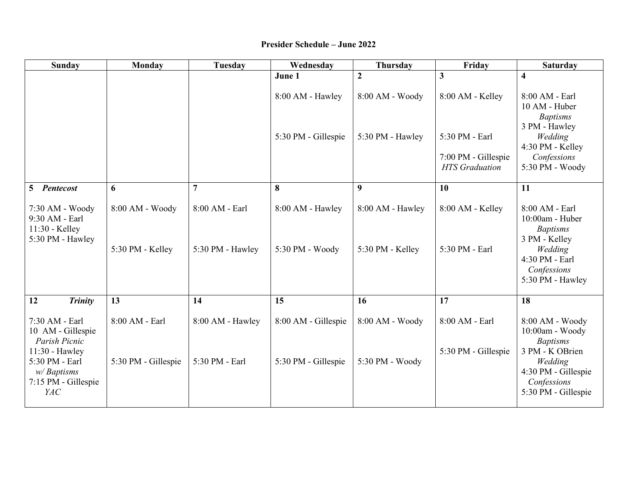## **Presider Schedule – June 2022**

| <b>Sunday</b>                                                                | Monday                              | <b>Tuesday</b>                     | Wednesday                           | <b>Thursday</b>                      | Friday                                       | <b>Saturday</b>                                                                         |
|------------------------------------------------------------------------------|-------------------------------------|------------------------------------|-------------------------------------|--------------------------------------|----------------------------------------------|-----------------------------------------------------------------------------------------|
|                                                                              |                                     |                                    | June 1                              | $\mathbf{2}$                         | $\overline{\mathbf{3}}$                      | $\overline{\mathbf{4}}$                                                                 |
|                                                                              |                                     |                                    | 8:00 AM - Hawley                    | 8:00 AM - Woody                      | 8:00 AM - Kelley                             | 8:00 AM - Earl<br>10 AM - Huber<br><b>Baptisms</b><br>3 PM - Hawley                     |
|                                                                              |                                     |                                    | 5:30 PM - Gillespie                 | 5:30 PM - Hawley                     | 5:30 PM - Earl                               | Wedding<br>4:30 PM - Kelley                                                             |
|                                                                              |                                     |                                    |                                     |                                      | 7:00 PM - Gillespie<br><b>HTS</b> Graduation | Confessions<br>5:30 PM - Woody                                                          |
| <b>Pentecost</b><br>5                                                        | 6                                   | $\overline{7}$                     | 8                                   | $\boldsymbol{9}$                     | 10                                           | 11                                                                                      |
| 7:30 AM - Woody<br>9:30 AM - Earl<br>11:30 - Kelley<br>5:30 PM - Hawley      | 8:00 AM - Woody<br>5:30 PM - Kelley | 8:00 AM - Earl<br>5:30 PM - Hawley | 8:00 AM - Hawley<br>5:30 PM - Woody | 8:00 AM - Hawley<br>5:30 PM - Kelley | 8:00 AM - Kelley<br>5:30 PM - Earl           | 8:00 AM - Earl<br>10:00am - Huber<br><b>Baptisms</b><br>3 PM - Kelley<br>Wedding        |
|                                                                              |                                     |                                    |                                     |                                      |                                              | 4:30 PM - Earl<br>Confessions<br>5:30 PM - Hawley                                       |
| <b>Trinity</b><br>12                                                         | $\overline{13}$                     | 14                                 | 15                                  | 16                                   | $\overline{17}$                              | 18                                                                                      |
| 7:30 AM - Earl<br>10 AM - Gillespie<br>Parish Picnic                         | 8:00 AM - Earl                      | 8:00 AM - Hawley                   | 8:00 AM - Gillespie                 | 8:00 AM - Woody                      | 8:00 AM - Earl                               | 8:00 AM - Woody<br>10:00am - Woody<br><b>Baptisms</b>                                   |
| 11:30 - Hawley<br>5:30 PM - Earl<br>w/Baptisms<br>7:15 PM - Gillespie<br>YAC | 5:30 PM - Gillespie                 | 5:30 PM - Earl                     | 5:30 PM - Gillespie                 | 5:30 PM - Woody                      | 5:30 PM - Gillespie                          | 3 PM - K OBrien<br>Wedding<br>4:30 PM - Gillespie<br>Confessions<br>5:30 PM - Gillespie |